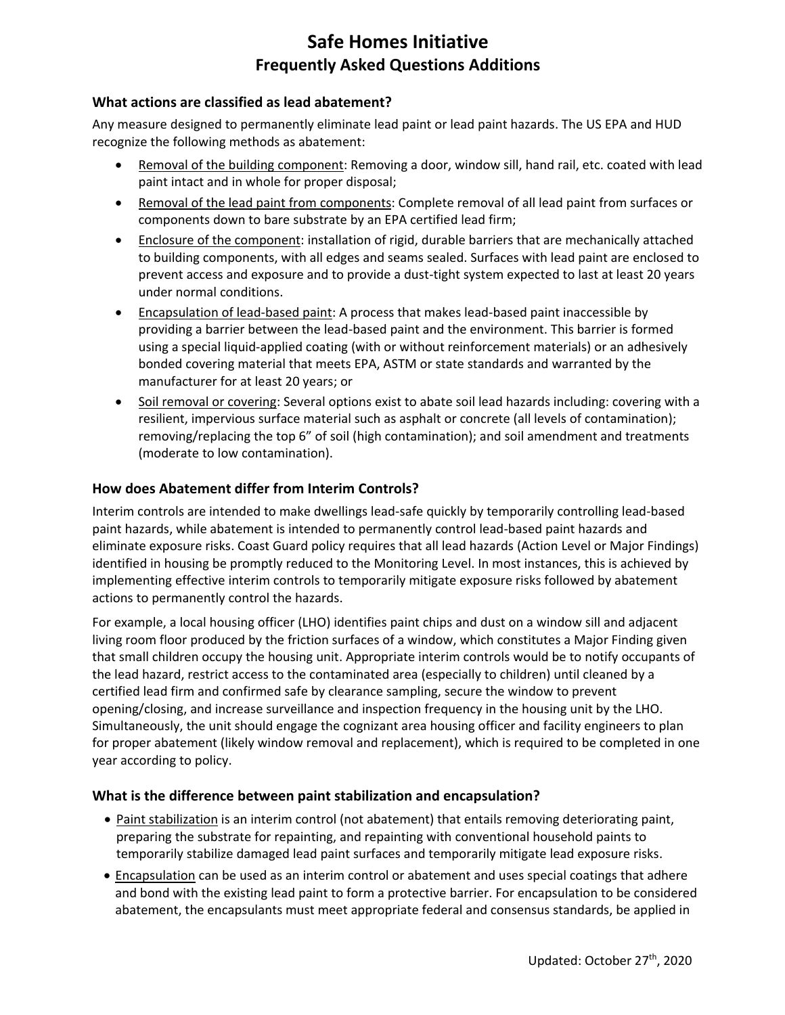# **Safe Homes Initiative Frequently Asked Questions Additions**

#### **What actions are classified as lead abatement?**

Any measure designed to permanently eliminate lead paint or lead paint hazards. The US EPA and HUD recognize the following methods as abatement:

- Removal of the building component: Removing a door, window sill, hand rail, etc. coated with lead paint intact and in whole for proper disposal;
- Removal of the lead paint from components: Complete removal of all lead paint from surfaces or components down to bare substrate by an EPA certified lead firm;
- Enclosure of the component: installation of rigid, durable barriers that are mechanically attached to building components, with all edges and seams sealed. Surfaces with lead paint are enclosed to prevent access and exposure and to provide a dust-tight system expected to last at least 20 years under normal conditions.
- Encapsulation of lead-based paint: A process that makes lead-based paint inaccessible by providing a barrier between the lead-based paint and the environment. This barrier is formed using a special liquid-applied coating (with or without reinforcement materials) or an adhesively bonded covering material that meets EPA, ASTM or state standards and warranted by the manufacturer for at least 20 years; or
- Soil removal or covering: Several options exist to abate soil lead hazards including: covering with a resilient, impervious surface material such as asphalt or concrete (all levels of contamination); removing/replacing the top 6" of soil (high contamination); and soil amendment and treatments (moderate to low contamination).

#### **How does Abatement differ from Interim Controls?**

Interim controls are intended to make dwellings lead-safe quickly by temporarily controlling lead-based paint hazards, while abatement is intended to permanently control lead-based paint hazards and eliminate exposure risks. Coast Guard policy requires that all lead hazards (Action Level or Major Findings) identified in housing be promptly reduced to the Monitoring Level. In most instances, this is achieved by implementing effective interim controls to temporarily mitigate exposure risks followed by abatement actions to permanently control the hazards.

For example, a local housing officer (LHO) identifies paint chips and dust on a window sill and adjacent living room floor produced by the friction surfaces of a window, which constitutes a Major Finding given that small children occupy the housing unit. Appropriate interim controls would be to notify occupants of the lead hazard, restrict access to the contaminated area (especially to children) until cleaned by a certified lead firm and confirmed safe by clearance sampling, secure the window to prevent opening/closing, and increase surveillance and inspection frequency in the housing unit by the LHO. Simultaneously, the unit should engage the cognizant area housing officer and facility engineers to plan for proper abatement (likely window removal and replacement), which is required to be completed in one year according to policy.

#### **What is the difference between paint stabilization and encapsulation?**

- Paint stabilization is an interim control (not abatement) that entails removing deteriorating paint, preparing the substrate for repainting, and repainting with conventional household paints to temporarily stabilize damaged lead paint surfaces and temporarily mitigate lead exposure risks.
- Encapsulation can be used as an interim control or abatement and uses special coatings that adhere and bond with the existing lead paint to form a protective barrier. For encapsulation to be considered abatement, the encapsulants must meet appropriate federal and consensus standards, be applied in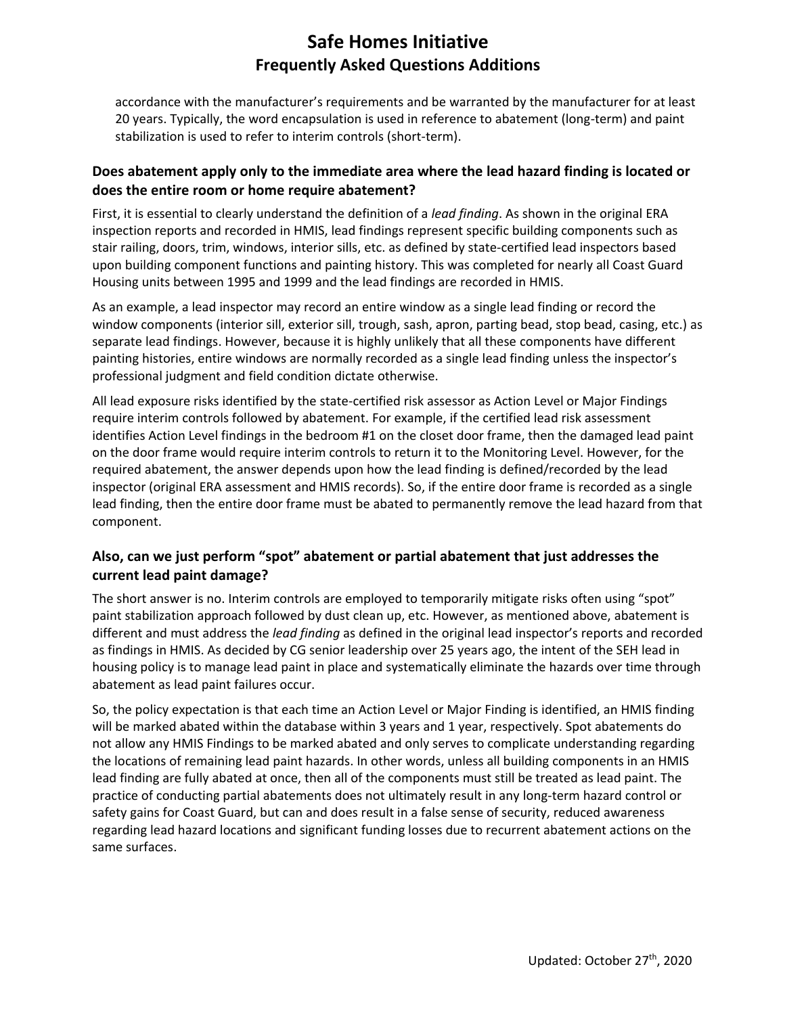# **Safe Homes Initiative Frequently Asked Questions Additions**

accordance with the manufacturer's requirements and be warranted by the manufacturer for at least 20 years. Typically, the word encapsulation is used in reference to abatement (long-term) and paint stabilization is used to refer to interim controls (short-term).

### **Does abatement apply only to the immediate area where the lead hazard finding is located or does the entire room or home require abatement?**

First, it is essential to clearly understand the definition of a *lead finding*. As shown in the original ERA inspection reports and recorded in HMIS, lead findings represent specific building components such as stair railing, doors, trim, windows, interior sills, etc. as defined by state-certified lead inspectors based upon building component functions and painting history. This was completed for nearly all Coast Guard Housing units between 1995 and 1999 and the lead findings are recorded in HMIS.

As an example, a lead inspector may record an entire window as a single lead finding or record the window components (interior sill, exterior sill, trough, sash, apron, parting bead, stop bead, casing, etc.) as separate lead findings. However, because it is highly unlikely that all these components have different painting histories, entire windows are normally recorded as a single lead finding unless the inspector's professional judgment and field condition dictate otherwise.

All lead exposure risks identified by the state-certified risk assessor as Action Level or Major Findings require interim controls followed by abatement. For example, if the certified lead risk assessment identifies Action Level findings in the bedroom #1 on the closet door frame, then the damaged lead paint on the door frame would require interim controls to return it to the Monitoring Level. However, for the required abatement, the answer depends upon how the lead finding is defined/recorded by the lead inspector (original ERA assessment and HMIS records). So, if the entire door frame is recorded as a single lead finding, then the entire door frame must be abated to permanently remove the lead hazard from that component.

## **Also, can we just perform "spot" abatement or partial abatement that just addresses the current lead paint damage?**

The short answer is no. Interim controls are employed to temporarily mitigate risks often using "spot" paint stabilization approach followed by dust clean up, etc. However, as mentioned above, abatement is different and must address the *lead finding* as defined in the original lead inspector's reports and recorded as findings in HMIS. As decided by CG senior leadership over 25 years ago, the intent of the SEH lead in housing policy is to manage lead paint in place and systematically eliminate the hazards over time through abatement as lead paint failures occur.

So, the policy expectation is that each time an Action Level or Major Finding is identified, an HMIS finding will be marked abated within the database within 3 years and 1 year, respectively. Spot abatements do not allow any HMIS Findings to be marked abated and only serves to complicate understanding regarding the locations of remaining lead paint hazards. In other words, unless all building components in an HMIS lead finding are fully abated at once, then all of the components must still be treated as lead paint. The practice of conducting partial abatements does not ultimately result in any long-term hazard control or safety gains for Coast Guard, but can and does result in a false sense of security, reduced awareness regarding lead hazard locations and significant funding losses due to recurrent abatement actions on the same surfaces.